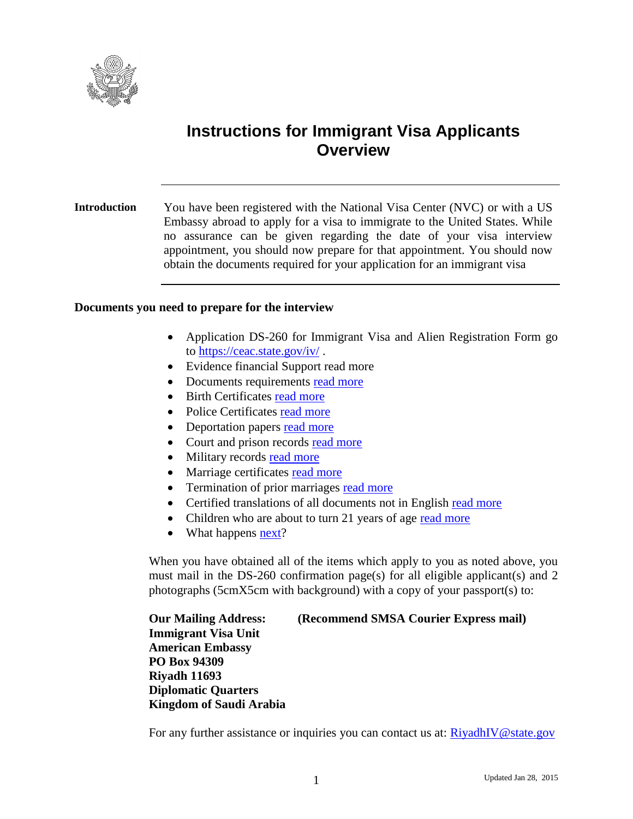

# **Instructions for Immigrant Visa Applicants Overview**

<span id="page-0-0"></span>**Introduction** You have been registered with the National Visa Center (NVC) or with a US Embassy abroad to apply for a visa to immigrate to the United States. While no assurance can be given regarding the date of your visa interview appointment, you should now prepare for that appointment. You should now obtain the documents required for your application for an immigrant visa

#### **Documents you need to prepare for the interview**

- Application DS-260 for Immigrant Visa and Alien Registration Form go to<https://ceac.state.gov/iv/> .
- Evidence financial Support read more
- Documents requirements [read more](#page-2-0)
- Birth Certificates [read more](#page-2-1)
- Police Certificates [read more](#page-3-0)
- Deportation papers [read more](#page-5-0)
- Court and prison records [read more](#page-5-1)
- Military records [read more](#page-5-2)
- Marriage certificates [read more](#page-5-3)
- Termination of prior marriages [read more](#page-5-4)
- Certified translations of all documents not in English read more
- Children who are about to turn 21 years of age [read more](#page-5-5)
- $\bullet$  What happens  $\frac{\text{next}}{2}$ ?

When you have obtained all of the items which apply to you as noted above, you must mail in the DS-260 confirmation page(s) for all eligible applicant(s) and 2 photographs (5cmX5cm with background) with a copy of your passport(s) to:

**Our Mailing Address: (Recommend SMSA Courier Express mail) Immigrant Visa Unit American Embassy PO Box 94309 Riyadh 11693 Diplomatic Quarters Kingdom of Saudi Arabia**

For any further assistance or inquiries you can contact us at: [RiyadhIV@state.gov](mailto:RiyadhIV@state.gov)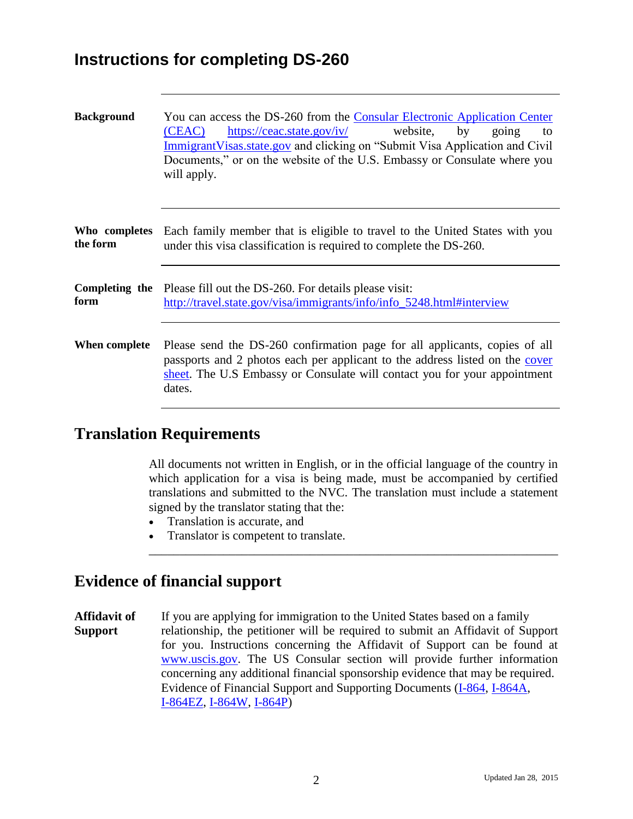## **Instructions for completing DS-260**

| <b>Background</b>         | You can access the DS-260 from the Consular Electronic Application Center<br>https://ceac.state.gov/iv/<br>website,<br>(CEAC)<br>by<br>going<br>to<br>Immigrant Visas. state, gov and clicking on "Submit Visa Application and Civil"<br>Documents," or on the website of the U.S. Embassy or Consulate where you<br>will apply. |
|---------------------------|----------------------------------------------------------------------------------------------------------------------------------------------------------------------------------------------------------------------------------------------------------------------------------------------------------------------------------|
| Who completes<br>the form | Each family member that is eligible to travel to the United States with you<br>under this visa classification is required to complete the DS-260.                                                                                                                                                                                |
| form                      | <b>Completing the</b> Please fill out the DS-260. For details please visit:<br>http://travel.state.gov/visa/immigrants/info/info_5248.html#interview                                                                                                                                                                             |
| When complete             | Please send the DS-260 confirmation page for all applicants, copies of all<br>passports and 2 photos each per applicant to the address listed on the cover<br>sheet. The U.S Embassy or Consulate will contact you for your appointment<br>dates.                                                                                |

### **Translation Requirements**

All documents not written in English, or in the official language of the country in which application for a visa is being made, must be accompanied by certified translations and submitted to the NVC. The translation must include a statement signed by the translator stating that the:

\_\_\_\_\_\_\_\_\_\_\_\_\_\_\_\_\_\_\_\_\_\_\_\_\_\_\_\_\_\_\_\_\_\_\_\_\_\_\_\_\_\_\_\_\_\_\_\_\_\_\_\_\_\_\_\_\_\_\_\_\_\_\_\_\_\_

- Translation is accurate, and
- Translator is competent to translate.

### **Evidence of financial support**

**Affidavit of** If you are applying for immigration to the United States based on a family **Support** relationship, the petitioner will be required to submit an Affidavit of Support for you. Instructions concerning the Affidavit of Support can be found at [www.uscis.gov.](http://www.uscis.gov/) The US Consular section will provide further information concerning any additional financial sponsorship evidence that may be required. Evidence of Financial Support and Supporting Documents [\(I-864,](http://www.uscis.gov/portal/site/uscis/menuitem.5af9bb95919f35e66f614176543f6d1a/?vgnextoid=b70f8875d714d010VgnVCM10000048f3d6a1RCRD&vgnextchannel=db029c7755cb9010VgnVCM10000045f3d6a1RCRD) [I-864A,](http://www.uscis.gov/portal/site/uscis/menuitem.5af9bb95919f35e66f614176543f6d1a/?vgnextoid=0c7e8875d714d010VgnVCM10000048f3d6a1RCRD&vgnextchannel=db029c7755cb9010VgnVCM10000045f3d6a1RCRD) [I-864EZ,](http://www.uscis.gov/portal/site/uscis/menuitem.5af9bb95919f35e66f614176543f6d1a/?vgnextoid=15d05d4c6608e010VgnVCM1000000ecd190aRCRD&vgnextchannel=db029c7755cb9010VgnVCM10000045f3d6a1RCRD) [I-864W,](http://www.uscis.gov/portal/site/uscis/menuitem.5af9bb95919f35e66f614176543f6d1a/?vgnextoid=02055d4c6608e010VgnVCM1000000ecd190aRCRD&vgnextchannel=db029c7755cb9010VgnVCM10000045f3d6a1RCRD) [I-864P\)](http://www.uscis.gov/sites/default/files/files/form/i-864p.pdf)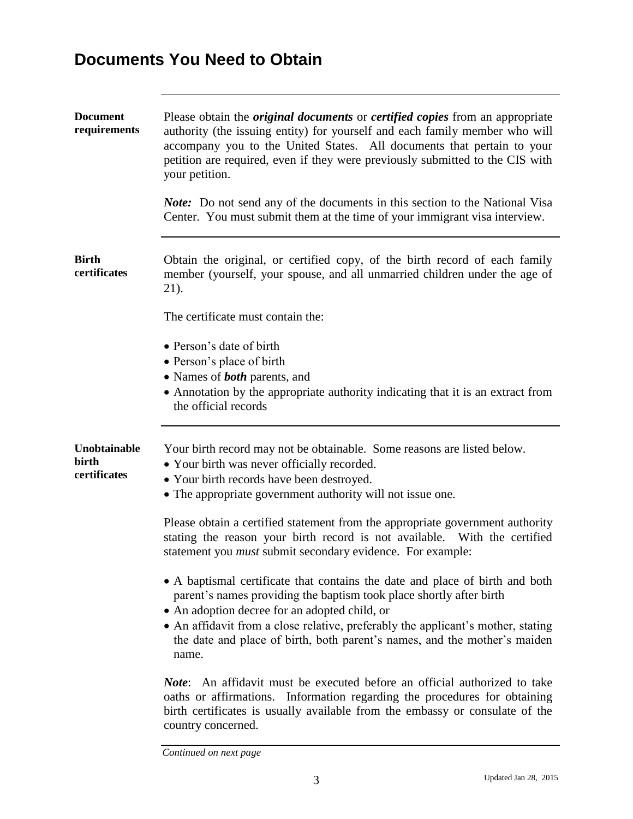# **Documents You Need to Obtain**

<span id="page-2-1"></span><span id="page-2-0"></span>

| <b>Document</b><br>requirements       | Please obtain the <i>original documents</i> or <i>certified copies</i> from an appropriate<br>authority (the issuing entity) for yourself and each family member who will<br>accompany you to the United States. All documents that pertain to your<br>petition are required, even if they were previously submitted to the CIS with<br>your petition.<br><i>Note:</i> Do not send any of the documents in this section to the National Visa<br>Center. You must submit them at the time of your immigrant visa interview.                                                                                                                                                   |
|---------------------------------------|------------------------------------------------------------------------------------------------------------------------------------------------------------------------------------------------------------------------------------------------------------------------------------------------------------------------------------------------------------------------------------------------------------------------------------------------------------------------------------------------------------------------------------------------------------------------------------------------------------------------------------------------------------------------------|
| <b>Birth</b><br>certificates          | Obtain the original, or certified copy, of the birth record of each family<br>member (yourself, your spouse, and all unmarried children under the age of<br>21).<br>The certificate must contain the:                                                                                                                                                                                                                                                                                                                                                                                                                                                                        |
|                                       | • Person's date of birth<br>• Person's place of birth<br>• Names of <b>both</b> parents, and<br>• Annotation by the appropriate authority indicating that it is an extract from<br>the official records                                                                                                                                                                                                                                                                                                                                                                                                                                                                      |
| Unobtainable<br>birth<br>certificates | Your birth record may not be obtainable. Some reasons are listed below.<br>• Your birth was never officially recorded.<br>• Your birth records have been destroyed.<br>• The appropriate government authority will not issue one.<br>Please obtain a certified statement from the appropriate government authority<br>stating the reason your birth record is not available. With the certified<br>statement you <i>must</i> submit secondary evidence. For example:<br>• A baptismal certificate that contains the date and place of birth and both<br>parent's names providing the baptism took place shortly after birth<br>• An adoption decree for an adopted child, or |
|                                       | • An affidavit from a close relative, preferably the applicant's mother, stating<br>the date and place of birth, both parent's names, and the mother's maiden<br>name.                                                                                                                                                                                                                                                                                                                                                                                                                                                                                                       |
|                                       | <i>Note</i> : An affidavit must be executed before an official authorized to take<br>oaths or affirmations. Information regarding the procedures for obtaining<br>birth certificates is usually available from the embassy or consulate of the<br>country concerned.                                                                                                                                                                                                                                                                                                                                                                                                         |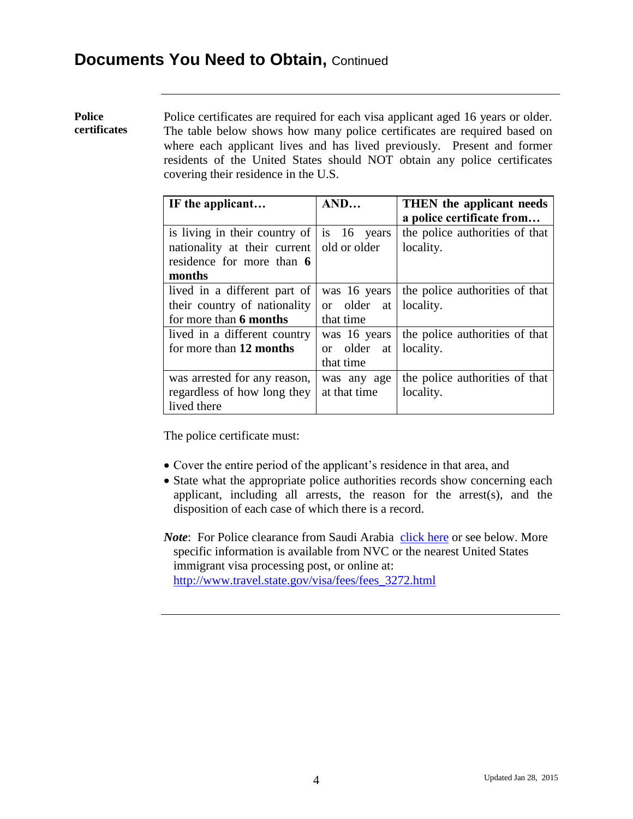<span id="page-3-0"></span>**Police certificates** Police certificates are required for each visa applicant aged 16 years or older. The table below shows how many police certificates are required based on where each applicant lives and has lived previously. Present and former residents of the United States should NOT obtain any police certificates covering their residence in the U.S.

| IF the applicant                                  | AND          | THEN the applicant needs       |
|---------------------------------------------------|--------------|--------------------------------|
|                                                   |              | a police certificate from      |
| is living in their country of $\vert$ is 16 years |              | the police authorities of that |
| nationality at their current                      | old or older | locality.                      |
| residence for more than 6                         |              |                                |
| months                                            |              |                                |
| lived in a different part of                      | was 16 years | the police authorities of that |
| their country of nationality                      | or older at  | locality.                      |
| for more than 6 months                            | that time    |                                |
| lived in a different country                      | was 16 years | the police authorities of that |
| for more than 12 months                           | or older at  | locality.                      |
|                                                   | that time    |                                |
| was arrested for any reason,                      | was any age  | the police authorities of that |
| regardless of how long they                       | at that time | locality.                      |
| lived there                                       |              |                                |

The police certificate must:

- Cover the entire period of the applicant's residence in that area, and
- State what the appropriate police authorities records show concerning each applicant, including all arrests, the reason for the arrest(s), and the disposition of each case of which there is a record.
- *Note*: For Police clearance from Saudi Arabia [click here](http://riyadh.usembassy.gov/immigrant-visas/documents.html) or see below. More specific information is available from NVC or the nearest United States immigrant visa processing post, or online at: [http://www.travel.state.gov/visa/fees/fees\\_3272.html](http://www.travel.state.gov/visa/fees/fees_3272.html)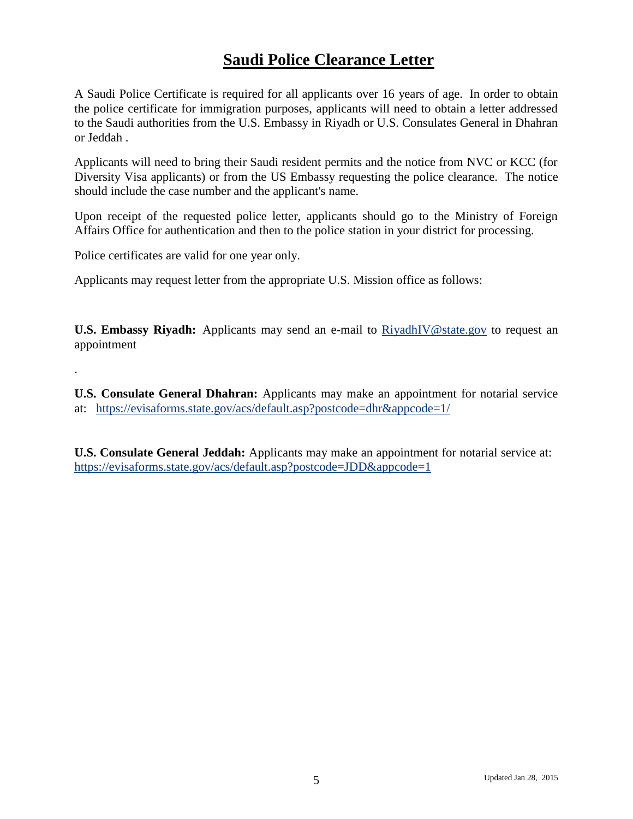### **Saudi Police Clearance Letter**

A Saudi Police Certificate is required for all applicants over 16 years of age. In order to obtain the police certificate for immigration purposes, applicants will need to obtain a letter addressed to the Saudi authorities from the U.S. Embassy in Riyadh or U.S. Consulates General in Dhahran or Jeddah .

Applicants will need to bring their Saudi resident permits and the notice from NVC or KCC (for Diversity Visa applicants) or from the US Embassy requesting the police clearance. The notice should include the case number and the applicant's name.

Upon receipt of the requested police letter, applicants should go to the Ministry of Foreign Affairs Office for authentication and then to the police station in your district for processing.

Police certificates are valid for one year only.

.

Applicants may request letter from the appropriate U.S. Mission office as follows:

**U.S. Embassy Riyadh:** Applicants may send an e-mail to [RiyadhIV@state.gov](mailto:RiyadhIV@state.gov) to request an appointment

**U.S. Consulate General Dhahran:** Applicants may make an appointment for notarial service at: <https://evisaforms.state.gov/acs/default.asp?postcode=dhr&appcode=1/>

**U.S. Consulate General Jeddah:** Applicants may make an appointment for notarial service at: <https://evisaforms.state.gov/acs/default.asp?postcode=JDD&appcode=1>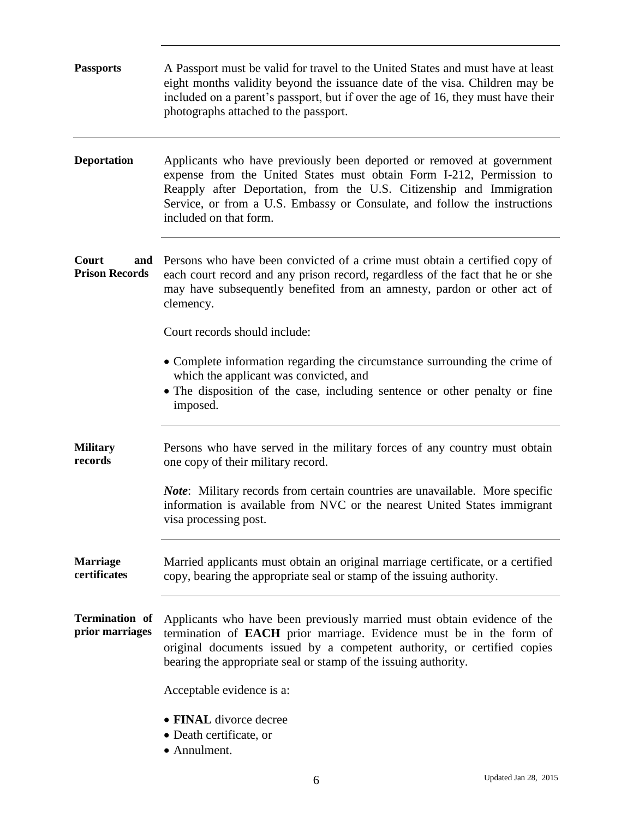<span id="page-5-5"></span><span id="page-5-4"></span><span id="page-5-3"></span><span id="page-5-2"></span><span id="page-5-1"></span><span id="page-5-0"></span>

| <b>Passports</b>                      | A Passport must be valid for travel to the United States and must have at least<br>eight months validity beyond the issuance date of the visa. Children may be<br>included on a parent's passport, but if over the age of 16, they must have their<br>photographs attached to the passport.                                  |  |  |
|---------------------------------------|------------------------------------------------------------------------------------------------------------------------------------------------------------------------------------------------------------------------------------------------------------------------------------------------------------------------------|--|--|
| <b>Deportation</b>                    | Applicants who have previously been deported or removed at government<br>expense from the United States must obtain Form I-212, Permission to<br>Reapply after Deportation, from the U.S. Citizenship and Immigration<br>Service, or from a U.S. Embassy or Consulate, and follow the instructions<br>included on that form. |  |  |
| Court<br>and<br><b>Prison Records</b> | Persons who have been convicted of a crime must obtain a certified copy of<br>each court record and any prison record, regardless of the fact that he or she<br>may have subsequently benefited from an amnesty, pardon or other act of<br>clemency.                                                                         |  |  |
|                                       | Court records should include:                                                                                                                                                                                                                                                                                                |  |  |
|                                       | • Complete information regarding the circumstance surrounding the crime of<br>which the applicant was convicted, and<br>• The disposition of the case, including sentence or other penalty or fine<br>imposed.                                                                                                               |  |  |
| <b>Military</b><br>records            | Persons who have served in the military forces of any country must obtain<br>one copy of their military record.                                                                                                                                                                                                              |  |  |
|                                       | <i>Note:</i> Military records from certain countries are unavailable. More specific<br>information is available from NVC or the nearest United States immigrant<br>visa processing post.                                                                                                                                     |  |  |
| <b>Marriage</b><br>certificates       | Married applicants must obtain an original marriage certificate, or a certified<br>copy, bearing the appropriate seal or stamp of the issuing authority.                                                                                                                                                                     |  |  |
| Termination of<br>prior marriages     | Applicants who have been previously married must obtain evidence of the<br>termination of <b>EACH</b> prior marriage. Evidence must be in the form of<br>original documents issued by a competent authority, or certified copies<br>bearing the appropriate seal or stamp of the issuing authority.                          |  |  |
|                                       | Acceptable evidence is a:                                                                                                                                                                                                                                                                                                    |  |  |
|                                       | • FINAL divorce decree<br>• Death certificate, or<br>• Annulment.                                                                                                                                                                                                                                                            |  |  |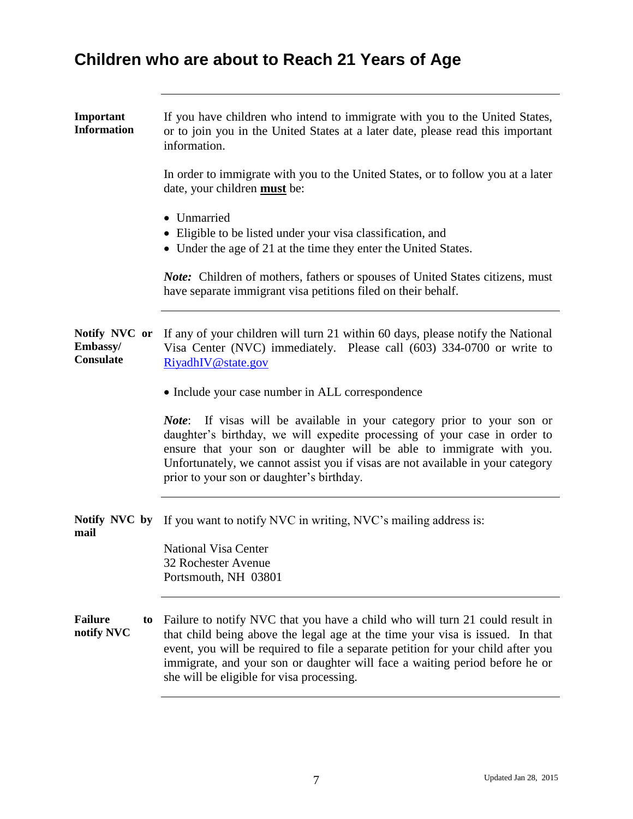# **Children who are about to Reach 21 Years of Age**

<span id="page-6-0"></span>

| Important<br><b>Information</b>                      | If you have children who intend to immigrate with you to the United States,<br>or to join you in the United States at a later date, please read this important<br>information.                                                                                                                                                                                                |  |  |
|------------------------------------------------------|-------------------------------------------------------------------------------------------------------------------------------------------------------------------------------------------------------------------------------------------------------------------------------------------------------------------------------------------------------------------------------|--|--|
|                                                      | In order to immigrate with you to the United States, or to follow you at a later<br>date, your children must be:                                                                                                                                                                                                                                                              |  |  |
|                                                      | • Unmarried<br>• Eligible to be listed under your visa classification, and<br>• Under the age of 21 at the time they enter the United States.                                                                                                                                                                                                                                 |  |  |
|                                                      | <b>Note:</b> Children of mothers, fathers or spouses of United States citizens, must<br>have separate immigrant visa petitions filed on their behalf.                                                                                                                                                                                                                         |  |  |
| Notify NVC or<br><b>Embassy/</b><br><b>Consulate</b> | If any of your children will turn 21 within 60 days, please notify the National<br>Visa Center (NVC) immediately. Please call (603) 334-0700 or write to<br>RiyadhIV@state.gov                                                                                                                                                                                                |  |  |
|                                                      | • Include your case number in ALL correspondence                                                                                                                                                                                                                                                                                                                              |  |  |
|                                                      | <i>Note</i> : If visas will be available in your category prior to your son or<br>daughter's birthday, we will expedite processing of your case in order to<br>ensure that your son or daughter will be able to immigrate with you.<br>Unfortunately, we cannot assist you if visas are not available in your category<br>prior to your son or daughter's birthday.           |  |  |
| mail                                                 | <b>Notify NVC by</b> If you want to notify NVC in writing, NVC's mailing address is:                                                                                                                                                                                                                                                                                          |  |  |
|                                                      | <b>National Visa Center</b><br>32 Rochester Avenue<br>Portsmouth, NH 03801                                                                                                                                                                                                                                                                                                    |  |  |
| Failure<br>to<br>notify NVC                          | Failure to notify NVC that you have a child who will turn 21 could result in<br>that child being above the legal age at the time your visa is issued. In that<br>event, you will be required to file a separate petition for your child after you<br>immigrate, and your son or daughter will face a waiting period before he or<br>she will be eligible for visa processing. |  |  |